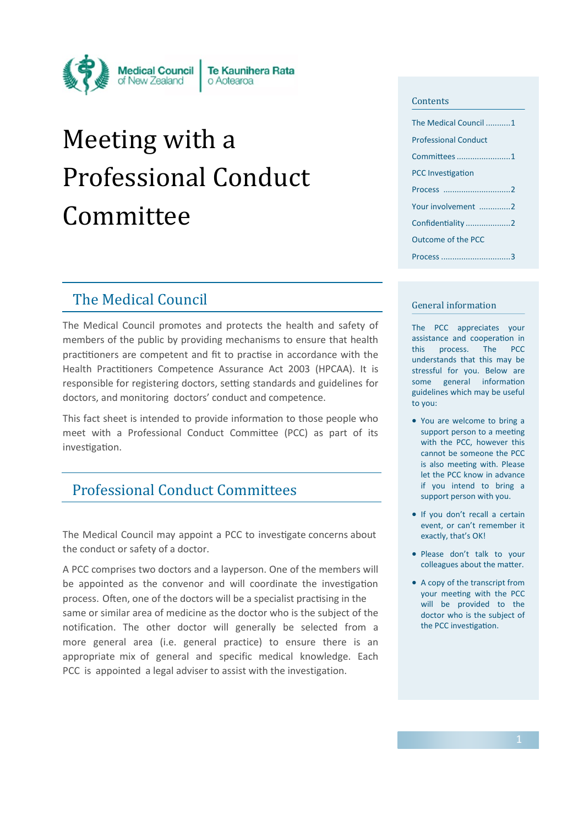

# Meeting with a Professional Conduct Committee

# The Medical Council

The Medical Council promotes and protects the health and safety of members of the public by providing mechanisms to ensure that health practitioners are competent and fit to practise in accordance with the Health Practitioners Competence Assurance Act 2003 (HPCAA). It is responsible for registering doctors, setting standards and guidelines for doctors, and monitoring doctors' conduct and competence.

This fact sheet is intended to provide information to those people who meet with a Professional Conduct Committee (PCC) as part of its investigation.

# Professional Conduct Committees

The Medical Council may appoint a PCC to investigate concerns about the conduct or safety of a doctor.

A PCC comprises two doctors and a layperson. One of the members will be appointed as the convenor and will coordinate the investigation process. Often, one of the doctors will be a specialist practising in the same or similar area of medicine as the doctor who is the subject of the notification. The other doctor will generally be selected from a more general area (i.e. general practice) to ensure there is an appropriate mix of general and specific medical knowledge. Each PCC is appointed a legal adviser to assist with the investigation.

#### **Contents**

| The Medical Council 1       |
|-----------------------------|
| <b>Professional Conduct</b> |
| Committees 1                |
| <b>PCC Investigation</b>    |
|                             |
| Your involvement 2          |
| Confidentiality2            |
| Outcome of the PCC          |
| Process 3                   |

#### General information

The PCC appreciates your assistance and cooperation in this process. The PCC understands that this may be stressful for you. Below are some general information guidelines which may be useful to you:

- You are welcome to bring a support person to a meeting with the PCC, however this cannot be someone the PCC is also meeting with. Please let the PCC know in advance if you intend to bring a support person with you.
- If you don't recall a certain event, or can't remember it exactly, that's OK!
- Please don't talk to your colleagues about the matter.
- A copy of the transcript from your meeting with the PCC will be provided to the doctor who is the subject of the PCC investigation.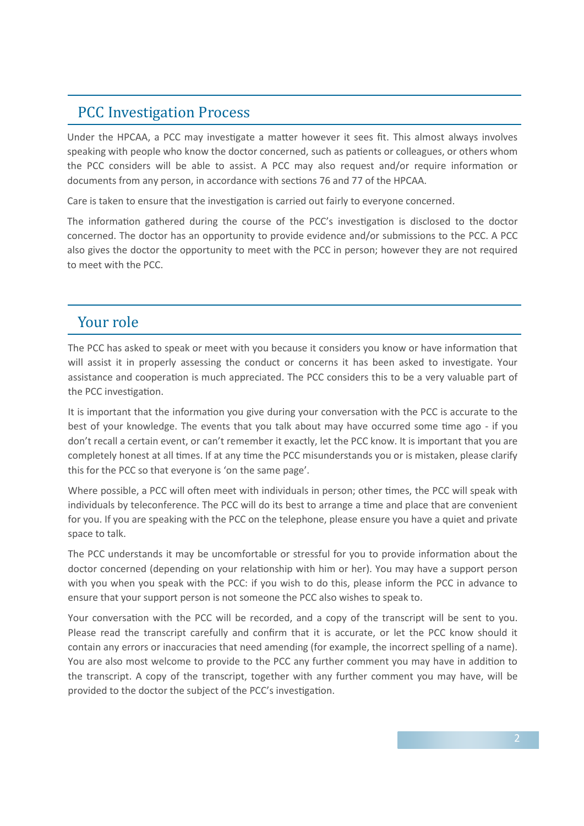## PCC Investigation Process

Under the HPCAA, a PCC may investigate a matter however it sees fit. This almost always involves speaking with people who know the doctor concerned, such as patients or colleagues, or others whom the PCC considers will be able to assist. A PCC may also request and/or require information or documents from any person, in accordance with sections 76 and 77 of the HPCAA.

Care is taken to ensure that the investigation is carried out fairly to everyone concerned.

The information gathered during the course of the PCC's investigation is disclosed to the doctor concerned. The doctor has an opportunity to provide evidence and/or submissions to the PCC. A PCC also gives the doctor the opportunity to meet with the PCC in person; however they are not required to meet with the PCC.

#### Your role

The PCC has asked to speak or meet with you because it considers you know or have information that will assist it in properly assessing the conduct or concerns it has been asked to investigate. Your assistance and cooperation is much appreciated. The PCC considers this to be a very valuable part of the PCC investigation.

It is important that the information you give during your conversation with the PCC is accurate to the best of your knowledge. The events that you talk about may have occurred some time ago - if you don't recall a certain event, or can't remember it exactly, let the PCC know. It is important that you are completely honest at all times. If at any time the PCC misunderstands you or is mistaken, please clarify this for the PCC so that everyone is 'on the same page'.

Where possible, a PCC will often meet with individuals in person; other times, the PCC will speak with individuals by teleconference. The PCC will do its best to arrange a time and place that are convenient for you. If you are speaking with the PCC on the telephone, please ensure you have a quiet and private space to talk.

The PCC understands it may be uncomfortable or stressful for you to provide information about the doctor concerned (depending on your relationship with him or her). You may have a support person with you when you speak with the PCC: if you wish to do this, please inform the PCC in advance to ensure that your support person is not someone the PCC also wishes to speak to.

Your conversation with the PCC will be recorded, and a copy of the transcript will be sent to you. Please read the transcript carefully and confirm that it is accurate, or let the PCC know should it contain any errors or inaccuracies that need amending (for example, the incorrect spelling of a name). You are also most welcome to provide to the PCC any further comment you may have in addition to the transcript. A copy of the transcript, together with any further comment you may have, will be provided to the doctor the subject of the PCC's investigation.